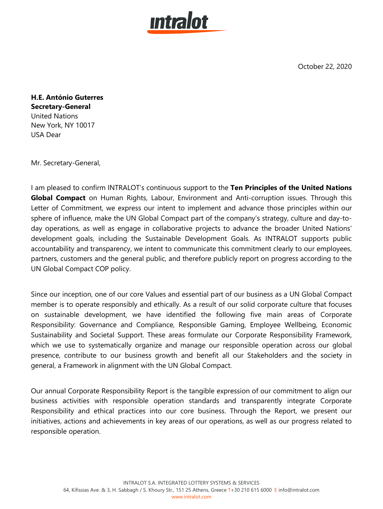

October 22, 2020

**H.E. António Guterres Secretary-General** United Nations New York, NY 10017 USA Dear

Mr. Secretary-General,

I am pleased to confirm INTRALOT's continuous support to the **Ten Principles of the United Nations Global Compact** on Human Rights, Labour, Environment and Anti-corruption issues. Through this Letter of Commitment, we express our intent to implement and advance those principles within our sphere of influence, make the UN Global Compact part of the company's strategy, culture and day-today operations, as well as engage in collaborative projects to advance the broader United Nations' development goals, including the Sustainable Development Goals. As INTRALOT supports public accountability and transparency, we intent to communicate this commitment clearly to our employees, partners, customers and the general public, and therefore publicly report on progress according to the UN Global Compact COP policy.

Since our inception, one of our core Values and essential part of our business as a UN Global Compact member is to operate responsibly and ethically. As a result of our solid corporate culture that focuses on sustainable development, we have identified the following five main areas of Corporate Responsibility: Governance and Compliance, Responsible Gaming, Employee Wellbeing, Economic Sustainability and Societal Support. These areas formulate our Corporate Responsibility Framework, which we use to systematically organize and manage our responsible operation across our global presence, contribute to our business growth and benefit all our Stakeholders and the society in general, a Framework in alignment with the UN Global Compact.

Our annual Corporate Responsibility Report is the tangible expression of our commitment to align our business activities with responsible operation standards and transparently integrate Corporate Responsibility and ethical practices into our core business. Through the Report, we present our initiatives, actions and achievements in key areas of our operations, as well as our progress related to responsible operation.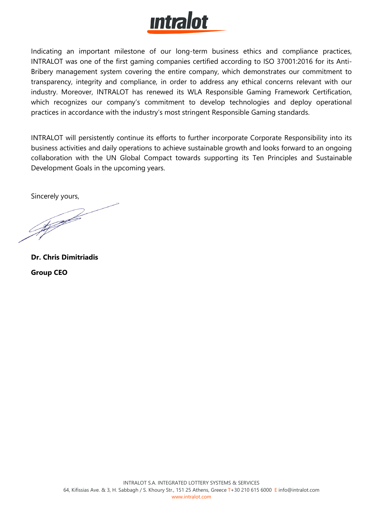

Indicating an important milestone of our long-term business ethics and compliance practices, INTRALOT was one of the first gaming companies certified according to ISO 37001:2016 for its Anti-Bribery management system covering the entire company, which demonstrates our commitment to transparency, integrity and compliance, in order to address any ethical concerns relevant with our industry. Moreover, INTRALOT has renewed its WLA Responsible Gaming Framework Certification, which recognizes our company's commitment to develop technologies and deploy operational practices in accordance with the industry's most stringent Responsible Gaming standards.

INTRALOT will persistently continue its efforts to further incorporate Corporate Responsibility into its business activities and daily operations to achieve sustainable growth and looks forward to an ongoing collaboration with the UN Global Compact towards supporting its Ten Principles and Sustainable Development Goals in the upcoming years.

Sincerely yours,

**SAFFE** 

**Dr. Chris Dimitriadis Group CEO**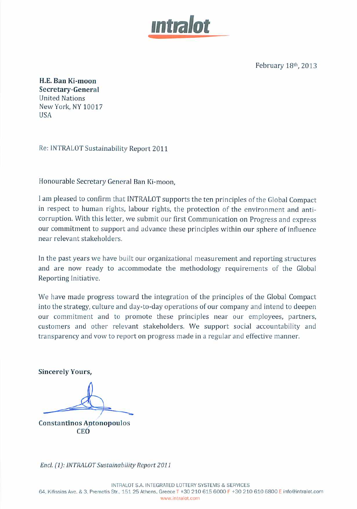

February 18th, 2013

H.E. Ban Ki-moon Secretary-General **United Nations** New York, NY 10017 **USA** 

Re: INTRALOT Sustainability Report 2011

Honourable Secretary General Ban Ki-moon,

I am pleased to confirm that INTRALOT supports the ten principles of the Global Compact in respect to human rights, labour rights, the protection of the environment and anticorruption. With this letter, we submit our first Communication on Progress and express our commitment to support and advance these principles within our sphere of influence near relevant stakeholders.

In the past years we have built our organizational measurement and reporting structures and are now ready to accommodate the methodology requirements of the Global Reporting Initiative.

We have made progress toward the integration of the principles of the Global Compact into the strategy, culture and day-to-day operations of our company and intend to deepen our commitment and to promote these principles near our employees, partners, customers and other relevant stakeholders. We support social accountability and transparency and vow to report on progress made in a regular and effective manner.

**Sincerely Yours,** 

**Constantinos Antonopoulos CEO** 

Encl. (1): INTRALOT Sustainability Report 2011